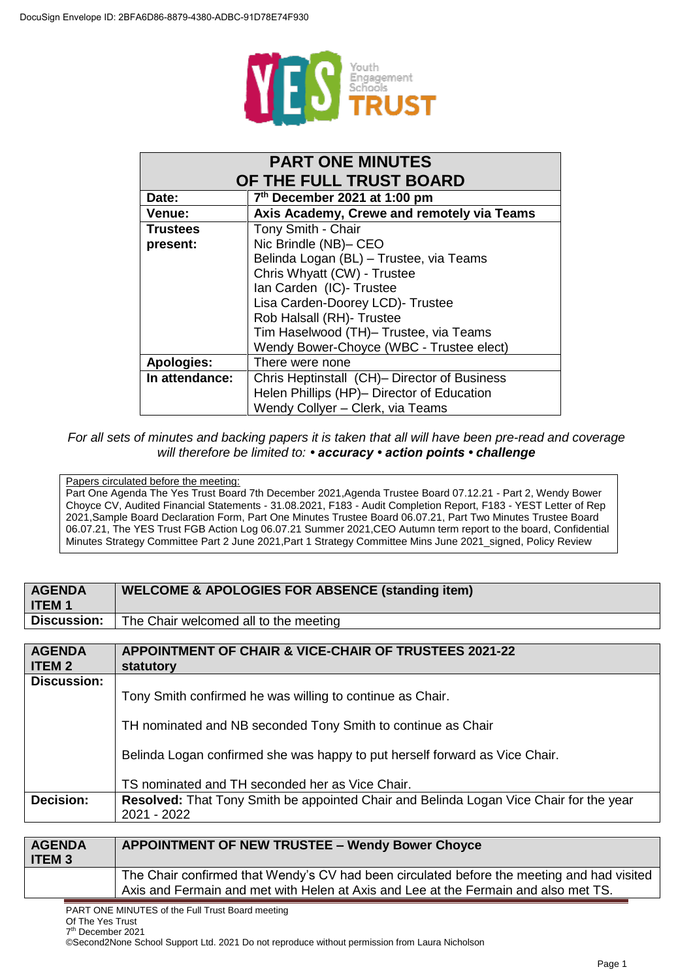

| <b>PART ONE MINUTES</b>                           |                                              |  |
|---------------------------------------------------|----------------------------------------------|--|
| OF THE FULL TRUST BOARD                           |                                              |  |
| 7 <sup>th</sup> December 2021 at 1:00 pm<br>Date: |                                              |  |
| Venue:                                            | Axis Academy, Crewe and remotely via Teams   |  |
| <b>Trustees</b>                                   | Tony Smith - Chair                           |  |
| present:                                          | Nic Brindle (NB)- CEO                        |  |
|                                                   | Belinda Logan (BL) - Trustee, via Teams      |  |
| Chris Whyatt (CW) - Trustee                       |                                              |  |
|                                                   | Ian Carden (IC)- Trustee                     |  |
|                                                   | Lisa Carden-Doorey LCD)- Trustee             |  |
|                                                   | Rob Halsall (RH)- Trustee                    |  |
|                                                   | Tim Haselwood (TH)- Trustee, via Teams       |  |
|                                                   | Wendy Bower-Choyce (WBC - Trustee elect)     |  |
| <b>Apologies:</b>                                 | There were none                              |  |
| In attendance:                                    | Chris Heptinstall (CH)- Director of Business |  |
|                                                   | Helen Phillips (HP)- Director of Education   |  |
|                                                   | Wendy Collyer - Clerk, via Teams             |  |

## *For all sets of minutes and backing papers it is taken that all will have been pre-read and coverage will therefore be limited to: • accuracy • action points • challenge*

## Papers circulated before the meeting:

Part One Agenda The Yes Trust Board 7th December 2021,Agenda Trustee Board 07.12.21 - Part 2, Wendy Bower Choyce CV, Audited Financial Statements - 31.08.2021, F183 - Audit Completion Report, F183 - YEST Letter of Rep 2021,Sample Board Declaration Form, Part One Minutes Trustee Board 06.07.21, Part Two Minutes Trustee Board 06.07.21, The YES Trust FGB Action Log 06.07.21 Summer 2021,CEO Autumn term report to the board, Confidential Minutes Strategy Committee Part 2 June 2021,Part 1 Strategy Committee Mins June 2021\_signed, Policy Review

| <b>AGENDA</b>                                             | <b>WELCOME &amp; APOLOGIES FOR ABSENCE (standing item)</b>                                    |  |
|-----------------------------------------------------------|-----------------------------------------------------------------------------------------------|--|
|                                                           |                                                                                               |  |
| <b>ITEM1</b>                                              |                                                                                               |  |
|                                                           |                                                                                               |  |
| <b>Discussion:</b>                                        | The Chair welcomed all to the meeting                                                         |  |
|                                                           |                                                                                               |  |
| <b>AGENDA</b>                                             | <b>APPOINTMENT OF CHAIR &amp; VICE-CHAIR OF TRUSTEES 2021-22</b>                              |  |
| <b>ITEM 2</b>                                             | statutory                                                                                     |  |
|                                                           |                                                                                               |  |
| <b>Discussion:</b>                                        |                                                                                               |  |
| Tony Smith confirmed he was willing to continue as Chair. |                                                                                               |  |
|                                                           |                                                                                               |  |
|                                                           |                                                                                               |  |
|                                                           | TH nominated and NB seconded Tony Smith to continue as Chair                                  |  |
|                                                           |                                                                                               |  |
|                                                           | Belinda Logan confirmed she was happy to put herself forward as Vice Chair.                   |  |
|                                                           |                                                                                               |  |
|                                                           |                                                                                               |  |
|                                                           | TS nominated and TH seconded her as Vice Chair.                                               |  |
| Decision:                                                 | <b>Resolved:</b> That Tony Smith be appointed Chair and Belinda Logan Vice Chair for the year |  |
|                                                           | 2021 - 2022                                                                                   |  |
|                                                           |                                                                                               |  |

| <b>AGENDA</b><br>l ITEM 3 | <b>APPOINTMENT OF NEW TRUSTEE - Wendy Bower Choyce</b>                                                                                                                            |  |
|---------------------------|-----------------------------------------------------------------------------------------------------------------------------------------------------------------------------------|--|
|                           | The Chair confirmed that Wendy's CV had been circulated before the meeting and had visited<br>Axis and Fermain and met with Helen at Axis and Lee at the Fermain and also met TS. |  |
|                           |                                                                                                                                                                                   |  |

PART ONE MINUTES of the Full Trust Board meeting

Of The Yes Trust 7 th December 2021

©Second2None School Support Ltd. 2021 Do not reproduce without permission from Laura Nicholson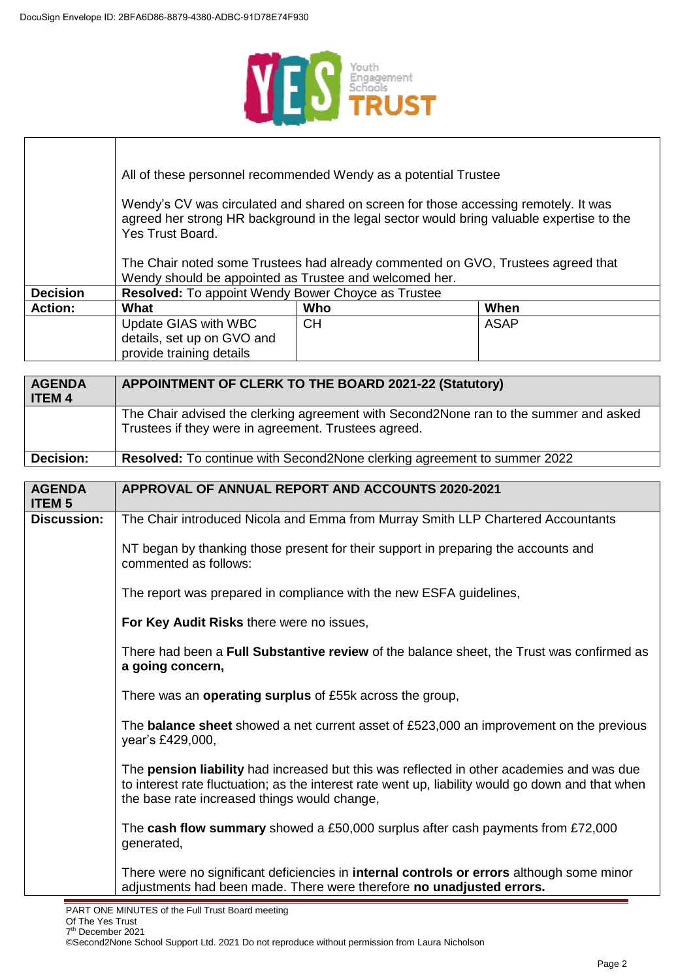

|                                                                                                                                                                                                      |                                                        | All of these personnel recommended Wendy as a potential Trustee                  |             |
|------------------------------------------------------------------------------------------------------------------------------------------------------------------------------------------------------|--------------------------------------------------------|----------------------------------------------------------------------------------|-------------|
| Wendy's CV was circulated and shared on screen for those accessing remotely. It was<br>agreed her strong HR background in the legal sector would bring valuable expertise to the<br>Yes Trust Board. |                                                        |                                                                                  |             |
|                                                                                                                                                                                                      | Wendy should be appointed as Trustee and welcomed her. | The Chair noted some Trustees had already commented on GVO, Trustees agreed that |             |
| <b>Decision</b>                                                                                                                                                                                      | Resolved: To appoint Wendy Bower Choyce as Trustee     |                                                                                  |             |
| <b>Action:</b>                                                                                                                                                                                       | What                                                   | Who                                                                              | When        |
|                                                                                                                                                                                                      | Update GIAS with WBC                                   | <b>CH</b>                                                                        | <b>ASAP</b> |
|                                                                                                                                                                                                      | details, set up on GVO and                             |                                                                                  |             |
|                                                                                                                                                                                                      | provide training details                               |                                                                                  |             |

| <b>AGENDA</b>                  | <b>APPOINTMENT OF CLERK TO THE BOARD 2021-22 (Statutory)</b>                                                                                                                                                                                   |  |
|--------------------------------|------------------------------------------------------------------------------------------------------------------------------------------------------------------------------------------------------------------------------------------------|--|
| <b>ITEM 4</b>                  |                                                                                                                                                                                                                                                |  |
|                                | The Chair advised the clerking agreement with Second2None ran to the summer and asked                                                                                                                                                          |  |
|                                | Trustees if they were in agreement. Trustees agreed.                                                                                                                                                                                           |  |
|                                |                                                                                                                                                                                                                                                |  |
| <b>Decision:</b>               | Resolved: To continue with Second2None clerking agreement to summer 2022                                                                                                                                                                       |  |
|                                |                                                                                                                                                                                                                                                |  |
| <b>AGENDA</b><br><b>ITEM 5</b> | <b>APPROVAL OF ANNUAL REPORT AND ACCOUNTS 2020-2021</b>                                                                                                                                                                                        |  |
| <b>Discussion:</b>             | The Chair introduced Nicola and Emma from Murray Smith LLP Chartered Accountants                                                                                                                                                               |  |
|                                | NT began by thanking those present for their support in preparing the accounts and<br>commented as follows:                                                                                                                                    |  |
|                                | The report was prepared in compliance with the new ESFA guidelines,                                                                                                                                                                            |  |
|                                | For Key Audit Risks there were no issues,                                                                                                                                                                                                      |  |
|                                | There had been a Full Substantive review of the balance sheet, the Trust was confirmed as<br>a going concern,                                                                                                                                  |  |
|                                | There was an operating surplus of £55k across the group,                                                                                                                                                                                       |  |
|                                | The <b>balance sheet</b> showed a net current asset of £523,000 an improvement on the previous<br>year's £429,000,                                                                                                                             |  |
|                                | The pension liability had increased but this was reflected in other academies and was due<br>to interest rate fluctuation; as the interest rate went up, liability would go down and that when<br>the base rate increased things would change, |  |
|                                | The cash flow summary showed a £50,000 surplus after cash payments from £72,000<br>generated,                                                                                                                                                  |  |
|                                | There were no significant deficiencies in <b>internal controls or errors</b> although some minor<br>adjustments had been made. There were therefore no unadjusted errors.                                                                      |  |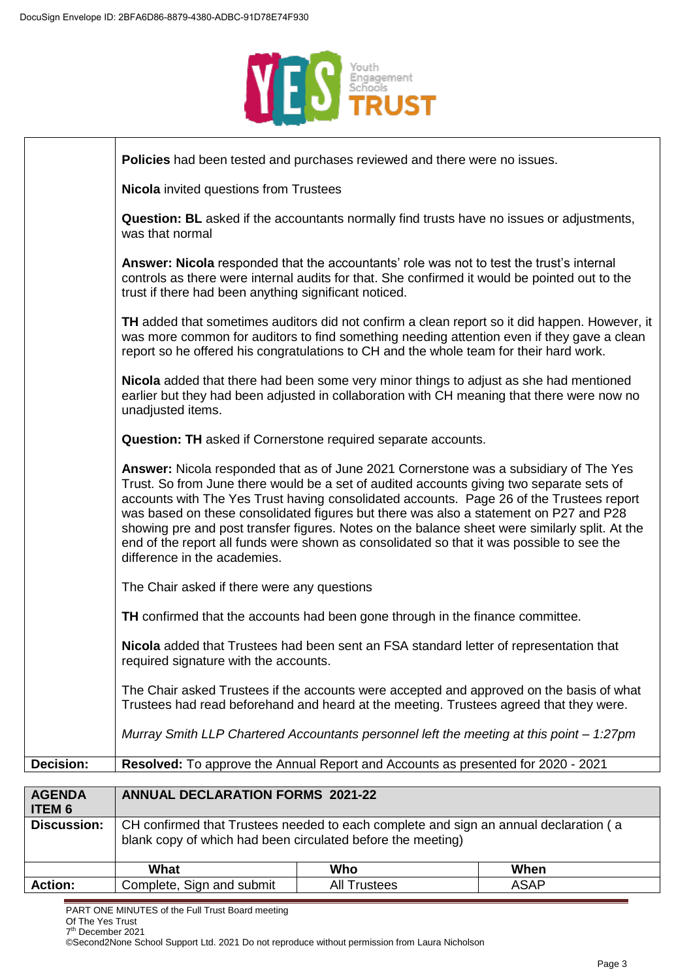

|                                | Policies had been tested and purchases reviewed and there were no issues.                                                                                                                                                                                                                                                                                                                                                                                                                                                                                                                             |
|--------------------------------|-------------------------------------------------------------------------------------------------------------------------------------------------------------------------------------------------------------------------------------------------------------------------------------------------------------------------------------------------------------------------------------------------------------------------------------------------------------------------------------------------------------------------------------------------------------------------------------------------------|
|                                | <b>Nicola</b> invited questions from Trustees                                                                                                                                                                                                                                                                                                                                                                                                                                                                                                                                                         |
|                                | <b>Question: BL</b> asked if the accountants normally find trusts have no issues or adjustments,<br>was that normal                                                                                                                                                                                                                                                                                                                                                                                                                                                                                   |
|                                | Answer: Nicola responded that the accountants' role was not to test the trust's internal<br>controls as there were internal audits for that. She confirmed it would be pointed out to the<br>trust if there had been anything significant noticed.                                                                                                                                                                                                                                                                                                                                                    |
|                                | TH added that sometimes auditors did not confirm a clean report so it did happen. However, it<br>was more common for auditors to find something needing attention even if they gave a clean<br>report so he offered his congratulations to CH and the whole team for their hard work.                                                                                                                                                                                                                                                                                                                 |
|                                | Nicola added that there had been some very minor things to adjust as she had mentioned<br>earlier but they had been adjusted in collaboration with CH meaning that there were now no<br>unadjusted items.                                                                                                                                                                                                                                                                                                                                                                                             |
|                                | Question: TH asked if Cornerstone required separate accounts.                                                                                                                                                                                                                                                                                                                                                                                                                                                                                                                                         |
|                                | Answer: Nicola responded that as of June 2021 Cornerstone was a subsidiary of The Yes<br>Trust. So from June there would be a set of audited accounts giving two separate sets of<br>accounts with The Yes Trust having consolidated accounts. Page 26 of the Trustees report<br>was based on these consolidated figures but there was also a statement on P27 and P28<br>showing pre and post transfer figures. Notes on the balance sheet were similarly split. At the<br>end of the report all funds were shown as consolidated so that it was possible to see the<br>difference in the academies. |
|                                | The Chair asked if there were any questions                                                                                                                                                                                                                                                                                                                                                                                                                                                                                                                                                           |
|                                | TH confirmed that the accounts had been gone through in the finance committee.                                                                                                                                                                                                                                                                                                                                                                                                                                                                                                                        |
|                                | Nicola added that Trustees had been sent an FSA standard letter of representation that<br>required signature with the accounts.                                                                                                                                                                                                                                                                                                                                                                                                                                                                       |
|                                | The Chair asked Trustees if the accounts were accepted and approved on the basis of what<br>Trustees had read beforehand and heard at the meeting. Trustees agreed that they were.                                                                                                                                                                                                                                                                                                                                                                                                                    |
|                                | Murray Smith LLP Chartered Accountants personnel left the meeting at this point - 1:27pm                                                                                                                                                                                                                                                                                                                                                                                                                                                                                                              |
| Decision:                      | Resolved: To approve the Annual Report and Accounts as presented for 2020 - 2021                                                                                                                                                                                                                                                                                                                                                                                                                                                                                                                      |
|                                |                                                                                                                                                                                                                                                                                                                                                                                                                                                                                                                                                                                                       |
| <b>AGENDA</b><br><b>ITEM 6</b> | <b>ANNUAL DECLARATION FORMS 2021-22</b>                                                                                                                                                                                                                                                                                                                                                                                                                                                                                                                                                               |
| Discussion:                    | $\Box$ CH confirmed that Trustees needed to each complete and sign an annual declaration (a                                                                                                                                                                                                                                                                                                                                                                                                                                                                                                           |

|              | $M_{\rm max}$<br>w<br>πιαι           | Who          | When  |
|--------------|--------------------------------------|--------------|-------|
| 'on.<br>Acti | submit<br>anc<br>:omr<br>siar<br>экч | All<br>stees | − ∩ں. |

PART ONE MINUTES of the Full Trust Board meeting

Of The Yes Trust 7 th December 2021

©Second2None School Support Ltd. 2021 Do not reproduce without permission from Laura Nicholson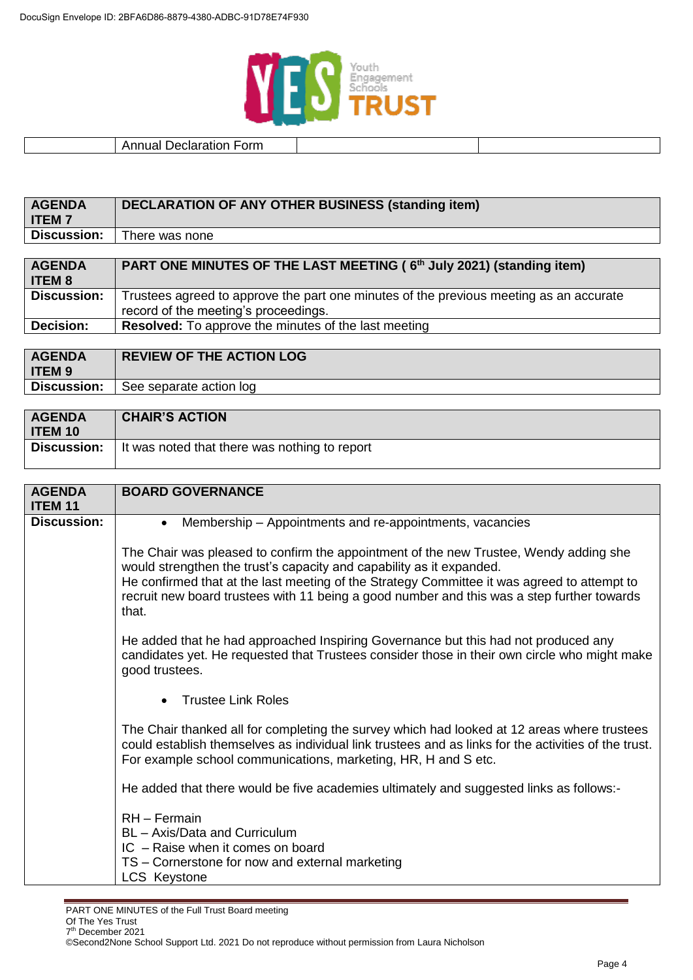

## Annual Declaration Form

| <b>AGENDA</b><br><b>ITEM7</b> | <b>DECLARATION OF ANY OTHER BUSINESS (standing item)</b>                               |  |
|-------------------------------|----------------------------------------------------------------------------------------|--|
| <b>Discussion:</b>            | There was none                                                                         |  |
|                               |                                                                                        |  |
| <b>AGENDA</b>                 | PART ONE MINUTES OF THE LAST MEETING (6th July 2021) (standing item)                   |  |
| <b>ITEM 8</b>                 |                                                                                        |  |
|                               |                                                                                        |  |
| <b>Discussion:</b>            | Trustees agreed to approve the part one minutes of the previous meeting as an accurate |  |
|                               | record of the meeting's proceedings.                                                   |  |
| Decision:                     | <b>Resolved:</b> To approve the minutes of the last meeting                            |  |

| <b>AGENDA</b> | <b>REVIEW OF THE ACTION LOG</b> |
|---------------|---------------------------------|
| <b>ITEM9</b>  |                                 |
| Discussion:   | See separate action log         |
|               |                                 |

| <b>AGENDA</b><br><b>ITEM 10</b> | <b>CHAIR'S ACTION</b>                                       |
|---------------------------------|-------------------------------------------------------------|
|                                 | Discussion:   It was noted that there was nothing to report |

| <b>AGENDA</b>      | <b>BOARD GOVERNANCE</b>                                                                                                                                                                                                                                               |
|--------------------|-----------------------------------------------------------------------------------------------------------------------------------------------------------------------------------------------------------------------------------------------------------------------|
| <b>ITEM 11</b>     |                                                                                                                                                                                                                                                                       |
| <b>Discussion:</b> | Membership – Appointments and re-appointments, vacancies<br>$\bullet$                                                                                                                                                                                                 |
|                    | The Chair was pleased to confirm the appointment of the new Trustee, Wendy adding she<br>would strengthen the trust's capacity and capability as it expanded.<br>He confirmed that at the last meeting of the Strategy Committee it was agreed to attempt to          |
|                    | recruit new board trustees with 11 being a good number and this was a step further towards<br>that.                                                                                                                                                                   |
|                    | He added that he had approached Inspiring Governance but this had not produced any<br>candidates yet. He requested that Trustees consider those in their own circle who might make<br>good trustees.                                                                  |
|                    | <b>Trustee Link Roles</b>                                                                                                                                                                                                                                             |
|                    | The Chair thanked all for completing the survey which had looked at 12 areas where trustees<br>could establish themselves as individual link trustees and as links for the activities of the trust.<br>For example school communications, marketing, HR, H and S etc. |
|                    | He added that there would be five academies ultimately and suggested links as follows:-                                                                                                                                                                               |
|                    | RH - Fermain                                                                                                                                                                                                                                                          |
|                    | BL - Axis/Data and Curriculum                                                                                                                                                                                                                                         |
|                    | IC - Raise when it comes on board                                                                                                                                                                                                                                     |
|                    | TS – Cornerstone for now and external marketing                                                                                                                                                                                                                       |
|                    | <b>LCS Keystone</b>                                                                                                                                                                                                                                                   |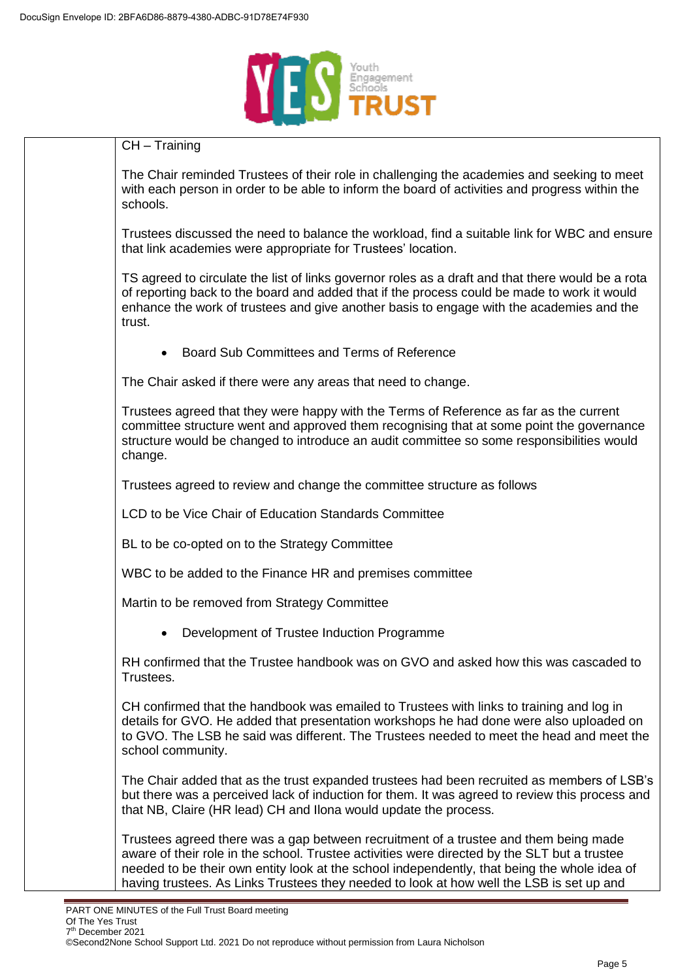

| $CH - Training$                                                                                                                                                                                                                                                                                                                                                                  |
|----------------------------------------------------------------------------------------------------------------------------------------------------------------------------------------------------------------------------------------------------------------------------------------------------------------------------------------------------------------------------------|
| The Chair reminded Trustees of their role in challenging the academies and seeking to meet<br>with each person in order to be able to inform the board of activities and progress within the<br>schools.                                                                                                                                                                         |
| Trustees discussed the need to balance the workload, find a suitable link for WBC and ensure<br>that link academies were appropriate for Trustees' location.                                                                                                                                                                                                                     |
| TS agreed to circulate the list of links governor roles as a draft and that there would be a rota<br>of reporting back to the board and added that if the process could be made to work it would<br>enhance the work of trustees and give another basis to engage with the academies and the<br>trust.                                                                           |
| Board Sub Committees and Terms of Reference<br>$\bullet$                                                                                                                                                                                                                                                                                                                         |
| The Chair asked if there were any areas that need to change.                                                                                                                                                                                                                                                                                                                     |
| Trustees agreed that they were happy with the Terms of Reference as far as the current<br>committee structure went and approved them recognising that at some point the governance<br>structure would be changed to introduce an audit committee so some responsibilities would<br>change.                                                                                       |
| Trustees agreed to review and change the committee structure as follows                                                                                                                                                                                                                                                                                                          |
| LCD to be Vice Chair of Education Standards Committee                                                                                                                                                                                                                                                                                                                            |
| BL to be co-opted on to the Strategy Committee                                                                                                                                                                                                                                                                                                                                   |
| WBC to be added to the Finance HR and premises committee                                                                                                                                                                                                                                                                                                                         |
| Martin to be removed from Strategy Committee                                                                                                                                                                                                                                                                                                                                     |
| Development of Trustee Induction Programme                                                                                                                                                                                                                                                                                                                                       |
| RH confirmed that the Trustee handbook was on GVO and asked how this was cascaded to<br>Trustees.                                                                                                                                                                                                                                                                                |
| CH confirmed that the handbook was emailed to Trustees with links to training and log in<br>details for GVO. He added that presentation workshops he had done were also uploaded on<br>to GVO. The LSB he said was different. The Trustees needed to meet the head and meet the<br>school community.                                                                             |
| The Chair added that as the trust expanded trustees had been recruited as members of LSB's<br>but there was a perceived lack of induction for them. It was agreed to review this process and<br>that NB, Claire (HR lead) CH and Ilona would update the process.                                                                                                                 |
| Trustees agreed there was a gap between recruitment of a trustee and them being made<br>aware of their role in the school. Trustee activities were directed by the SLT but a trustee<br>needed to be their own entity look at the school independently, that being the whole idea of<br>having trustees. As Links Trustees they needed to look at how well the LSB is set up and |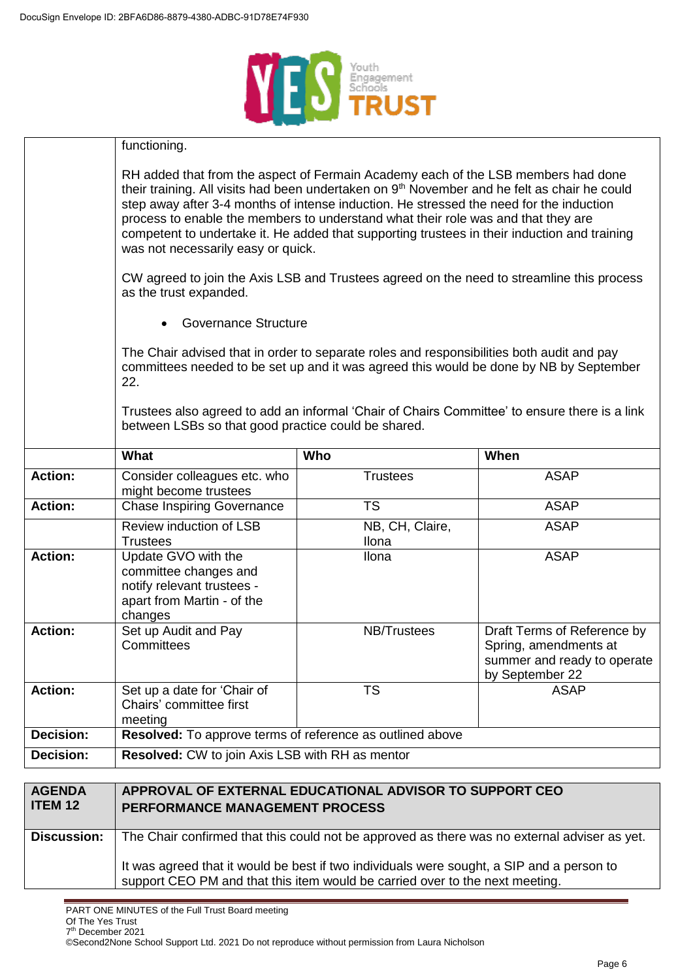

|                  | functioning.                                                                                                                                                                                                                                                                                                                                                                                                                                                                                                                                                                                                     |                          |                                                                                                        |
|------------------|------------------------------------------------------------------------------------------------------------------------------------------------------------------------------------------------------------------------------------------------------------------------------------------------------------------------------------------------------------------------------------------------------------------------------------------------------------------------------------------------------------------------------------------------------------------------------------------------------------------|--------------------------|--------------------------------------------------------------------------------------------------------|
|                  | RH added that from the aspect of Fermain Academy each of the LSB members had done<br>their training. All visits had been undertaken on 9 <sup>th</sup> November and he felt as chair he could<br>step away after 3-4 months of intense induction. He stressed the need for the induction<br>process to enable the members to understand what their role was and that they are<br>competent to undertake it. He added that supporting trustees in their induction and training<br>was not necessarily easy or quick.<br>CW agreed to join the Axis LSB and Trustees agreed on the need to streamline this process |                          |                                                                                                        |
|                  | as the trust expanded.                                                                                                                                                                                                                                                                                                                                                                                                                                                                                                                                                                                           |                          |                                                                                                        |
|                  | <b>Governance Structure</b>                                                                                                                                                                                                                                                                                                                                                                                                                                                                                                                                                                                      |                          |                                                                                                        |
|                  | The Chair advised that in order to separate roles and responsibilities both audit and pay<br>committees needed to be set up and it was agreed this would be done by NB by September<br>22.                                                                                                                                                                                                                                                                                                                                                                                                                       |                          |                                                                                                        |
|                  | Trustees also agreed to add an informal 'Chair of Chairs Committee' to ensure there is a link<br>between LSBs so that good practice could be shared.                                                                                                                                                                                                                                                                                                                                                                                                                                                             |                          |                                                                                                        |
|                  | What                                                                                                                                                                                                                                                                                                                                                                                                                                                                                                                                                                                                             | Who                      | When                                                                                                   |
| <b>Action:</b>   | Consider colleagues etc. who<br>might become trustees                                                                                                                                                                                                                                                                                                                                                                                                                                                                                                                                                            | <b>Trustees</b>          | <b>ASAP</b>                                                                                            |
| <b>Action:</b>   | <b>Chase Inspiring Governance</b>                                                                                                                                                                                                                                                                                                                                                                                                                                                                                                                                                                                | <b>TS</b>                | <b>ASAP</b>                                                                                            |
|                  | Review induction of LSB<br><b>Trustees</b>                                                                                                                                                                                                                                                                                                                                                                                                                                                                                                                                                                       | NB, CH, Claire,<br>Ilona | <b>ASAP</b>                                                                                            |
| <b>Action:</b>   | Update GVO with the<br>committee changes and<br>notify relevant trustees -<br>apart from Martin - of the<br>changes                                                                                                                                                                                                                                                                                                                                                                                                                                                                                              | Ilona                    | <b>ASAP</b>                                                                                            |
| <b>Action:</b>   | Set up Audit and Pay<br>Committees                                                                                                                                                                                                                                                                                                                                                                                                                                                                                                                                                                               | <b>NB/Trustees</b>       | Draft Terms of Reference by<br>Spring, amendments at<br>summer and ready to operate<br>by September 22 |
| <b>Action:</b>   | Set up a date for 'Chair of<br>Chairs' committee first<br>meeting                                                                                                                                                                                                                                                                                                                                                                                                                                                                                                                                                | <b>TS</b>                | <b>ASAP</b>                                                                                            |
| <b>Decision:</b> | Resolved: To approve terms of reference as outlined above                                                                                                                                                                                                                                                                                                                                                                                                                                                                                                                                                        |                          |                                                                                                        |
| Decision:        | Resolved: CW to join Axis LSB with RH as mentor                                                                                                                                                                                                                                                                                                                                                                                                                                                                                                                                                                  |                          |                                                                                                        |
|                  |                                                                                                                                                                                                                                                                                                                                                                                                                                                                                                                                                                                                                  |                          |                                                                                                        |

| <b>AGENDA</b><br><b>ITEM 12</b> | APPROVAL OF EXTERNAL EDUCATIONAL ADVISOR TO SUPPORT CEO<br>PERFORMANCE MANAGEMENT PROCESS                                                                                 |
|---------------------------------|---------------------------------------------------------------------------------------------------------------------------------------------------------------------------|
| <b>Discussion:</b>              | The Chair confirmed that this could not be approved as there was no external adviser as yet.                                                                              |
|                                 | It was agreed that it would be best if two individuals were sought, a SIP and a person to<br>support CEO PM and that this item would be carried over to the next meeting. |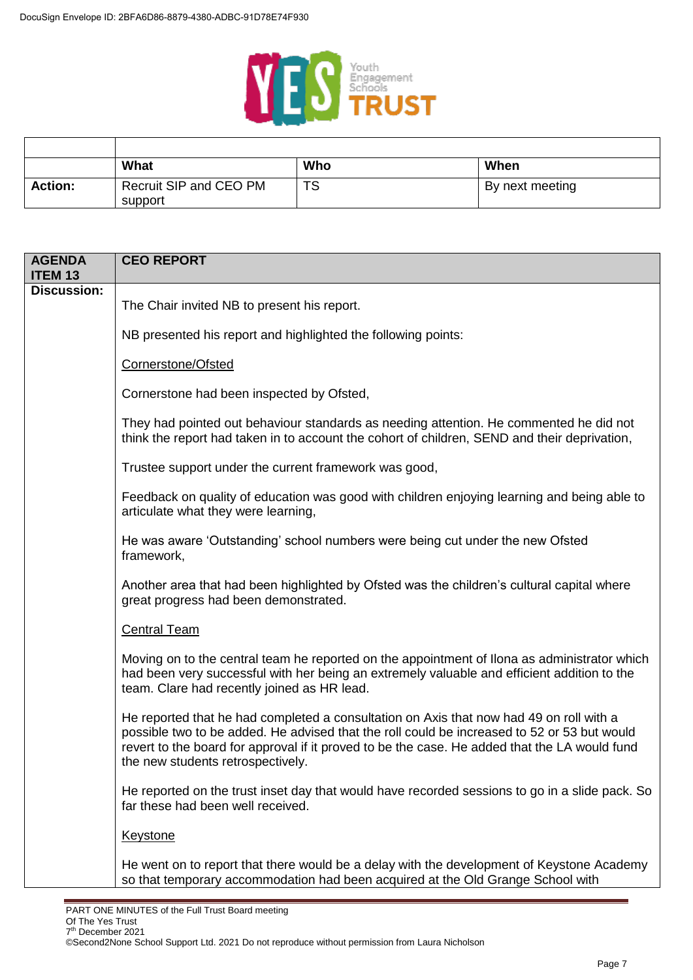

|                | What                              | Who | When            |
|----------------|-----------------------------------|-----|-----------------|
| <b>Action:</b> | Recruit SIP and CEO PM<br>support | TS  | By next meeting |

| <b>AGENDA</b><br><b>ITEM 13</b> | <b>CEO REPORT</b>                                                                                                                                                                                                                                                                                                            |
|---------------------------------|------------------------------------------------------------------------------------------------------------------------------------------------------------------------------------------------------------------------------------------------------------------------------------------------------------------------------|
| <b>Discussion:</b>              |                                                                                                                                                                                                                                                                                                                              |
|                                 | The Chair invited NB to present his report.                                                                                                                                                                                                                                                                                  |
|                                 | NB presented his report and highlighted the following points:                                                                                                                                                                                                                                                                |
|                                 | Cornerstone/Ofsted                                                                                                                                                                                                                                                                                                           |
|                                 | Cornerstone had been inspected by Ofsted,                                                                                                                                                                                                                                                                                    |
|                                 | They had pointed out behaviour standards as needing attention. He commented he did not<br>think the report had taken in to account the cohort of children, SEND and their deprivation,                                                                                                                                       |
|                                 | Trustee support under the current framework was good,                                                                                                                                                                                                                                                                        |
|                                 | Feedback on quality of education was good with children enjoying learning and being able to<br>articulate what they were learning,                                                                                                                                                                                           |
|                                 | He was aware 'Outstanding' school numbers were being cut under the new Ofsted<br>framework,                                                                                                                                                                                                                                  |
|                                 | Another area that had been highlighted by Ofsted was the children's cultural capital where<br>great progress had been demonstrated.                                                                                                                                                                                          |
|                                 | <b>Central Team</b>                                                                                                                                                                                                                                                                                                          |
|                                 | Moving on to the central team he reported on the appointment of Ilona as administrator which<br>had been very successful with her being an extremely valuable and efficient addition to the<br>team. Clare had recently joined as HR lead.                                                                                   |
|                                 | He reported that he had completed a consultation on Axis that now had 49 on roll with a<br>possible two to be added. He advised that the roll could be increased to 52 or 53 but would<br>revert to the board for approval if it proved to be the case. He added that the LA would fund<br>the new students retrospectively. |
|                                 | He reported on the trust inset day that would have recorded sessions to go in a slide pack. So<br>far these had been well received.                                                                                                                                                                                          |
|                                 | <b>Keystone</b>                                                                                                                                                                                                                                                                                                              |
|                                 | He went on to report that there would be a delay with the development of Keystone Academy<br>so that temporary accommodation had been acquired at the Old Grange School with                                                                                                                                                 |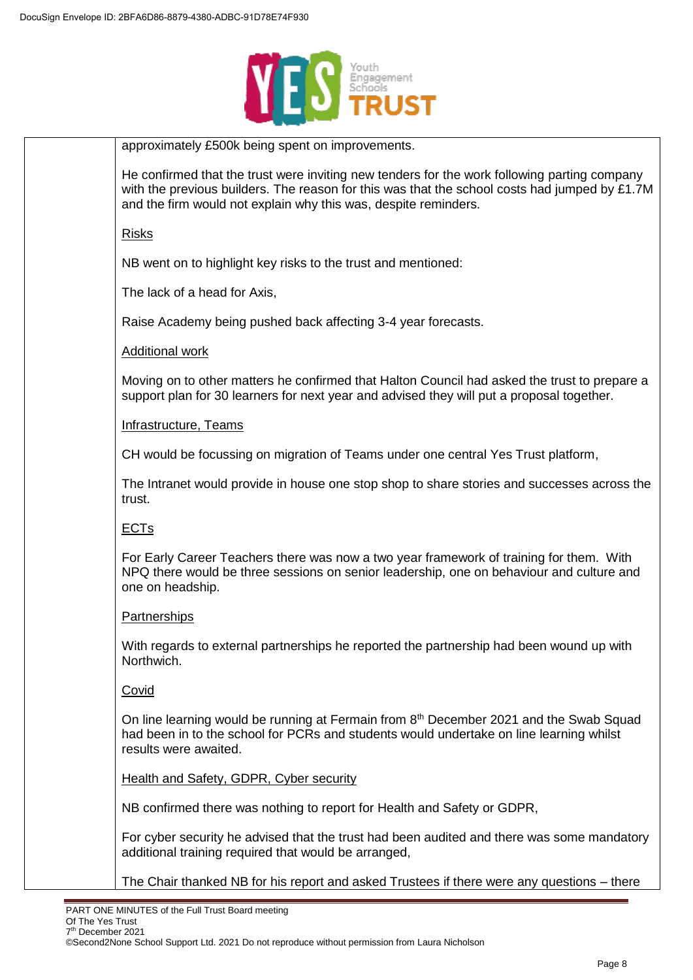

| approximately £500k being spent on improvements.                                                                                                                                                                                                                 |
|------------------------------------------------------------------------------------------------------------------------------------------------------------------------------------------------------------------------------------------------------------------|
| He confirmed that the trust were inviting new tenders for the work following parting company<br>with the previous builders. The reason for this was that the school costs had jumped by £1.7M<br>and the firm would not explain why this was, despite reminders. |
| <b>Risks</b>                                                                                                                                                                                                                                                     |
| NB went on to highlight key risks to the trust and mentioned:                                                                                                                                                                                                    |
| The lack of a head for Axis,                                                                                                                                                                                                                                     |
| Raise Academy being pushed back affecting 3-4 year forecasts.                                                                                                                                                                                                    |
| <b>Additional work</b>                                                                                                                                                                                                                                           |
| Moving on to other matters he confirmed that Halton Council had asked the trust to prepare a<br>support plan for 30 learners for next year and advised they will put a proposal together.                                                                        |
| Infrastructure, Teams                                                                                                                                                                                                                                            |
| CH would be focussing on migration of Teams under one central Yes Trust platform,                                                                                                                                                                                |
| The Intranet would provide in house one stop shop to share stories and successes across the<br>trust.                                                                                                                                                            |
| <b>ECT<sub>s</sub></b>                                                                                                                                                                                                                                           |
| For Early Career Teachers there was now a two year framework of training for them. With<br>NPQ there would be three sessions on senior leadership, one on behaviour and culture and<br>one on headship.                                                          |
| <b>Partnerships</b>                                                                                                                                                                                                                                              |
| With regards to external partnerships he reported the partnership had been wound up with<br>Northwich.                                                                                                                                                           |
| Covid                                                                                                                                                                                                                                                            |
| On line learning would be running at Fermain from 8 <sup>th</sup> December 2021 and the Swab Squad<br>had been in to the school for PCRs and students would undertake on line learning whilst<br>results were awaited.                                           |
| Health and Safety, GDPR, Cyber security                                                                                                                                                                                                                          |
| NB confirmed there was nothing to report for Health and Safety or GDPR,                                                                                                                                                                                          |
| For cyber security he advised that the trust had been audited and there was some mandatory<br>additional training required that would be arranged,                                                                                                               |
| The Chair thanked NB for his report and asked Trustees if there were any questions - there                                                                                                                                                                       |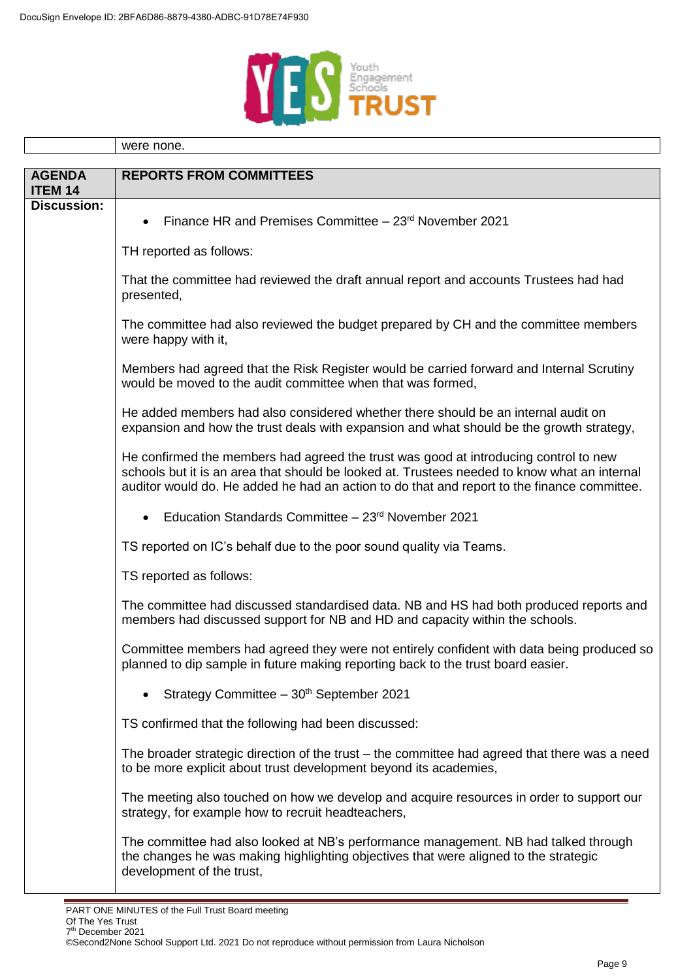

|                                 | were none.                                                                                                                                                                                                                                                                          |  |
|---------------------------------|-------------------------------------------------------------------------------------------------------------------------------------------------------------------------------------------------------------------------------------------------------------------------------------|--|
|                                 |                                                                                                                                                                                                                                                                                     |  |
| <b>AGENDA</b><br><b>ITEM 14</b> | <b>REPORTS FROM COMMITTEES</b>                                                                                                                                                                                                                                                      |  |
| <b>Discussion:</b>              | Finance HR and Premises Committee - 23 <sup>rd</sup> November 2021<br>$\bullet$                                                                                                                                                                                                     |  |
|                                 | TH reported as follows:                                                                                                                                                                                                                                                             |  |
|                                 | That the committee had reviewed the draft annual report and accounts Trustees had had<br>presented,                                                                                                                                                                                 |  |
|                                 | The committee had also reviewed the budget prepared by CH and the committee members<br>were happy with it,                                                                                                                                                                          |  |
|                                 | Members had agreed that the Risk Register would be carried forward and Internal Scrutiny<br>would be moved to the audit committee when that was formed,                                                                                                                             |  |
|                                 | He added members had also considered whether there should be an internal audit on<br>expansion and how the trust deals with expansion and what should be the growth strategy,                                                                                                       |  |
|                                 | He confirmed the members had agreed the trust was good at introducing control to new<br>schools but it is an area that should be looked at. Trustees needed to know what an internal<br>auditor would do. He added he had an action to do that and report to the finance committee. |  |
|                                 | Education Standards Committee - 23rd November 2021<br>$\bullet$                                                                                                                                                                                                                     |  |
|                                 | TS reported on IC's behalf due to the poor sound quality via Teams.                                                                                                                                                                                                                 |  |
|                                 | TS reported as follows:                                                                                                                                                                                                                                                             |  |
|                                 | The committee had discussed standardised data. NB and HS had both produced reports and<br>members had discussed support for NB and HD and capacity within the schools.                                                                                                              |  |
|                                 | Committee members had agreed they were not entirely confident with data being produced so<br>planned to dip sample in future making reporting back to the trust board easier.                                                                                                       |  |
|                                 | Strategy Committee - 30 <sup>th</sup> September 2021                                                                                                                                                                                                                                |  |
|                                 | TS confirmed that the following had been discussed:                                                                                                                                                                                                                                 |  |
|                                 | The broader strategic direction of the trust – the committee had agreed that there was a need<br>to be more explicit about trust development beyond its academies,                                                                                                                  |  |
|                                 | The meeting also touched on how we develop and acquire resources in order to support our<br>strategy, for example how to recruit headteachers,                                                                                                                                      |  |
|                                 | The committee had also looked at NB's performance management. NB had talked through<br>the changes he was making highlighting objectives that were aligned to the strategic<br>development of the trust,                                                                            |  |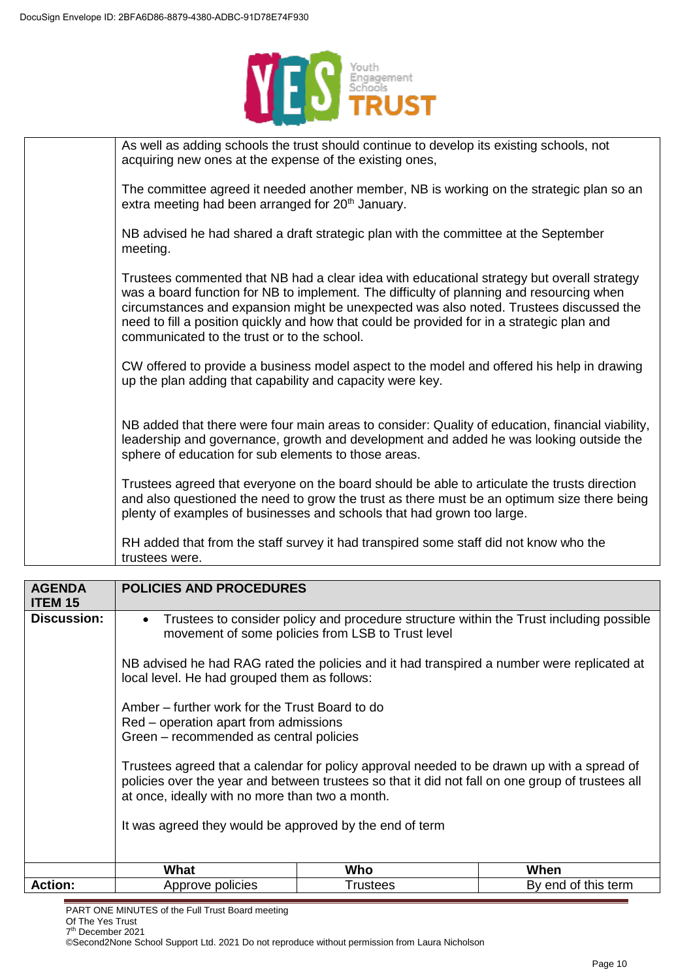

| As well as adding schools the trust should continue to develop its existing schools, not<br>acquiring new ones at the expense of the existing ones,                                                                                                                                                                                                                                                                           |
|-------------------------------------------------------------------------------------------------------------------------------------------------------------------------------------------------------------------------------------------------------------------------------------------------------------------------------------------------------------------------------------------------------------------------------|
| The committee agreed it needed another member, NB is working on the strategic plan so an<br>extra meeting had been arranged for 20 <sup>th</sup> January.                                                                                                                                                                                                                                                                     |
| NB advised he had shared a draft strategic plan with the committee at the September<br>meeting.                                                                                                                                                                                                                                                                                                                               |
| Trustees commented that NB had a clear idea with educational strategy but overall strategy<br>was a board function for NB to implement. The difficulty of planning and resourcing when<br>circumstances and expansion might be unexpected was also noted. Trustees discussed the<br>need to fill a position quickly and how that could be provided for in a strategic plan and<br>communicated to the trust or to the school. |
| CW offered to provide a business model aspect to the model and offered his help in drawing<br>up the plan adding that capability and capacity were key.                                                                                                                                                                                                                                                                       |
| NB added that there were four main areas to consider: Quality of education, financial viability,<br>leadership and governance, growth and development and added he was looking outside the<br>sphere of education for sub elements to those areas.                                                                                                                                                                            |
| Trustees agreed that everyone on the board should be able to articulate the trusts direction<br>and also questioned the need to grow the trust as there must be an optimum size there being<br>plenty of examples of businesses and schools that had grown too large.                                                                                                                                                         |
| RH added that from the staff survey it had transpired some staff did not know who the<br>trustees were.                                                                                                                                                                                                                                                                                                                       |

| <b>AGENDA</b><br><b>ITEM 15</b> | <b>POLICIES AND PROCEDURES</b>                                                                                                                                                                                                                    |          |                     |
|---------------------------------|---------------------------------------------------------------------------------------------------------------------------------------------------------------------------------------------------------------------------------------------------|----------|---------------------|
| <b>Discussion:</b>              | Trustees to consider policy and procedure structure within the Trust including possible<br>$\bullet$<br>movement of some policies from LSB to Trust level                                                                                         |          |                     |
|                                 | NB advised he had RAG rated the policies and it had transpired a number were replicated at<br>local level. He had grouped them as follows:                                                                                                        |          |                     |
|                                 | Amber – further work for the Trust Board to do<br>Red – operation apart from admissions<br>Green - recommended as central policies                                                                                                                |          |                     |
|                                 | Trustees agreed that a calendar for policy approval needed to be drawn up with a spread of<br>policies over the year and between trustees so that it did not fall on one group of trustees all<br>at once, ideally with no more than two a month. |          |                     |
|                                 | It was agreed they would be approved by the end of term                                                                                                                                                                                           |          |                     |
|                                 | What                                                                                                                                                                                                                                              | Who      | When                |
| <b>Action:</b>                  | Approve policies                                                                                                                                                                                                                                  | Trustees | By end of this term |

PART ONE MINUTES of the Full Trust Board meeting

7 th December 2021 ©Second2None School Support Ltd. 2021 Do not reproduce without permission from Laura Nicholson